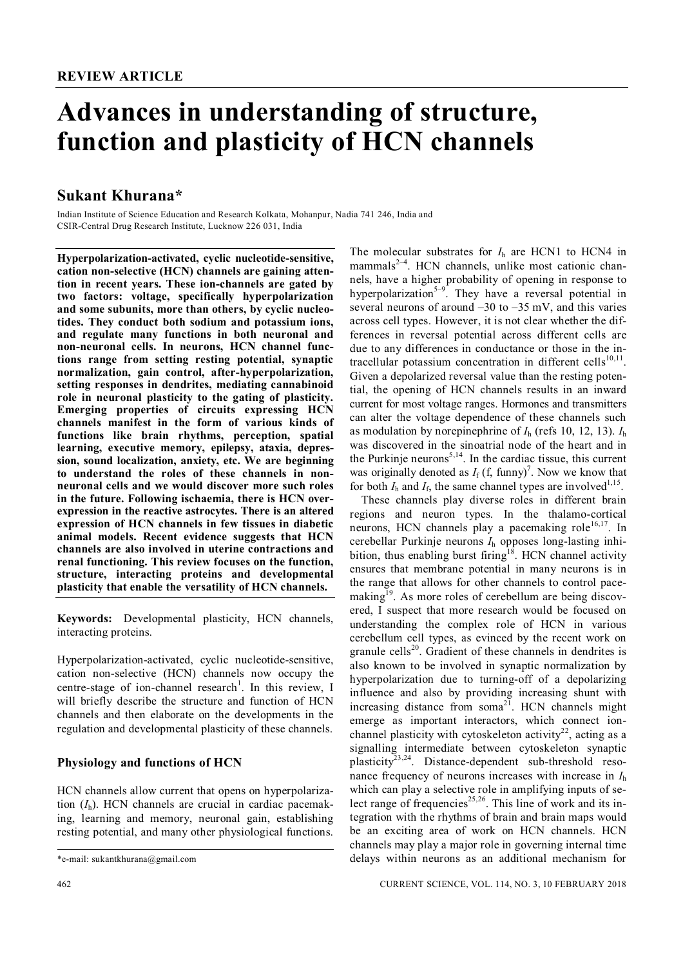# **Advances in understanding of structure, function and plasticity of HCN channels**

## **Sukant Khurana\***

Indian Institute of Science Education and Research Kolkata, Mohanpur, Nadia 741 246, India and CSIR-Central Drug Research Institute, Lucknow 226 031, India

**Hyperpolarization-activated, cyclic nucleotide-sensitive, cation non-selective (HCN) channels are gaining attention in recent years. These ion-channels are gated by two factors: voltage, specifically hyperpolarization and some subunits, more than others, by cyclic nucleotides. They conduct both sodium and potassium ions, and regulate many functions in both neuronal and non-neuronal cells. In neurons, HCN channel functions range from setting resting potential, synaptic normalization, gain control, after-hyperpolarization, setting responses in dendrites, mediating cannabinoid role in neuronal plasticity to the gating of plasticity. Emerging properties of circuits expressing HCN channels manifest in the form of various kinds of functions like brain rhythms, perception, spatial learning, executive memory, epilepsy, ataxia, depression, sound localization, anxiety, etc. We are beginning to understand the roles of these channels in nonneuronal cells and we would discover more such roles in the future. Following ischaemia, there is HCN overexpression in the reactive astrocytes. There is an altered expression of HCN channels in few tissues in diabetic animal models. Recent evidence suggests that HCN channels are also involved in uterine contractions and renal functioning. This review focuses on the function, structure, interacting proteins and developmental plasticity that enable the versatility of HCN channels.**

**Keywords:** Developmental plasticity, HCN channels, interacting proteins.

Hyperpolarization-activated, cyclic nucleotide-sensitive, cation non-selective (HCN) channels now occupy the centre-stage of ion-channel research<sup>1</sup>. In this review, I will briefly describe the structure and function of HCN channels and then elaborate on the developments in the regulation and developmental plasticity of these channels.

### **Physiology and functions of HCN**

HCN channels allow current that opens on hyperpolarization  $(I_h)$ . HCN channels are crucial in cardiac pacemaking, learning and memory, neuronal gain, establishing resting potential, and many other physiological functions.

The molecular substrates for  $I<sub>h</sub>$  are HCN1 to HCN4 in mammals<sup>2-4</sup>. HCN channels, unlike most cationic channels, have a higher probability of opening in response to hyperpolarization<sup>5-9</sup>. They have a reversal potential in several neurons of around  $-30$  to  $-35$  mV, and this varies across cell types. However, it is not clear whether the differences in reversal potential across different cells are due to any differences in conductance or those in the intracellular potassium concentration in different cells $^{10,11}$ . Given a depolarized reversal value than the resting potential, the opening of HCN channels results in an inward current for most voltage ranges. Hormones and transmitters can alter the voltage dependence of these channels such as modulation by norepinephrine of  $I<sub>h</sub>$  (refs 10, 12, 13).  $I<sub>h</sub>$ was discovered in the sinoatrial node of the heart and in the Purkinje neurons<sup>5,14</sup>. In the cardiac tissue, this current was originally denoted as  $I_f$  (f, funny)<sup>7</sup>. Now we know that for both  $I_h$  and  $I_f$ , the same channel types are involved<sup>1,15</sup>.

These channels play diverse roles in different brain regions and neuron types. In the thalamo-cortical neurons, HCN channels play a pacemaking role $^{16,17}$ . In cerebellar Purkinje neurons *I*<sup>h</sup> opposes long-lasting inhibition, thus enabling burst firing<sup>18</sup>. HCN channel activity ensures that membrane potential in many neurons is in the range that allows for other channels to control pacemaking $19$ . As more roles of cerebellum are being discovered, I suspect that more research would be focused on understanding the complex role of HCN in various cerebellum cell types, as evinced by the recent work on granule cells<sup>20</sup>. Gradient of these channels in dendrites is also known to be involved in synaptic normalization by hyperpolarization due to turning-off of a depolarizing influence and also by providing increasing shunt with increasing distance from soma<sup>21</sup>. HCN channels might emerge as important interactors, which connect ionchannel plasticity with cytoskeleton activity<sup>22</sup>, acting as a signalling intermediate between cytoskeleton synaptic plasticity $^{23,24}$ . Distance-dependent sub-threshold resonance frequency of neurons increases with increase in  $I<sub>h</sub>$ which can play a selective role in amplifying inputs of select range of frequencies<sup>25,26</sup>. This line of work and its integration with the rhythms of brain and brain maps would be an exciting area of work on HCN channels. HCN channels may play a major role in governing internal time delays within neurons as an additional mechanism for

<sup>\*</sup>e-mail: sukantkhurana@gmail.com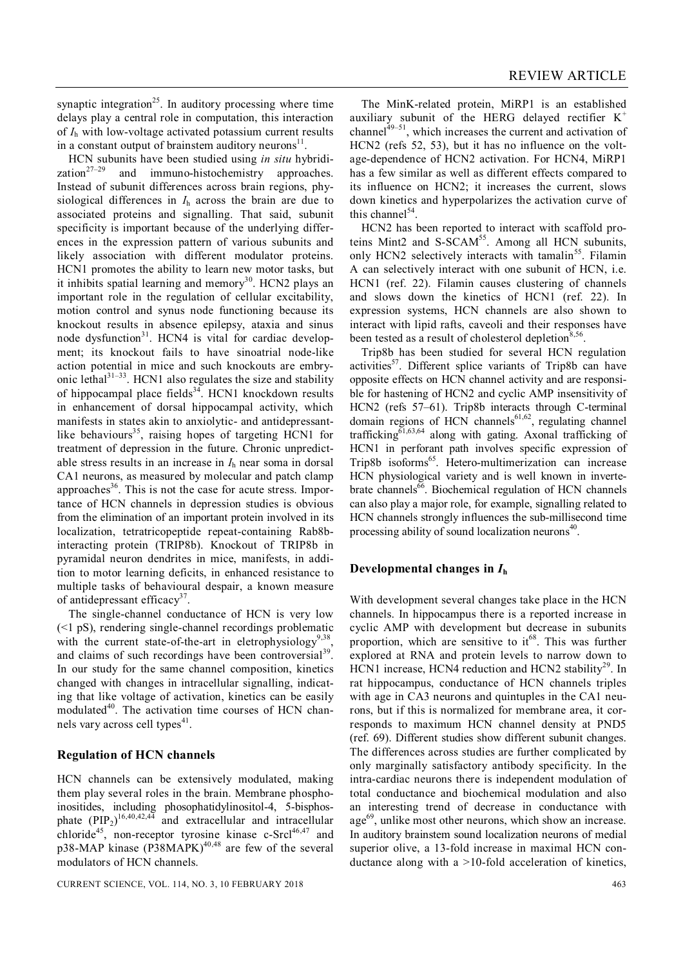synaptic integration<sup>25</sup>. In auditory processing where time delays play a central role in computation, this interaction of *I*h with low-voltage activated potassium current results in a constant output of brainstem auditory neurons $^{11}$ .

HCN subunits have been studied using *in situ* hybridization<sup>27-29</sup> and immuno-histochemistry annonaches and immuno-histochemistry approaches. Instead of subunit differences across brain regions, physiological differences in *I*<sup>h</sup> across the brain are due to associated proteins and signalling. That said, subunit specificity is important because of the underlying differences in the expression pattern of various subunits and likely association with different modulator proteins. HCN1 promotes the ability to learn new motor tasks, but it inhibits spatial learning and memory<sup>30</sup>. HCN2 plays an important role in the regulation of cellular excitability, motion control and synus node functioning because its knockout results in absence epilepsy, ataxia and sinus node dysfunction<sup>31</sup>. HCN4 is vital for cardiac development; its knockout fails to have sinoatrial node-like action potential in mice and such knockouts are embryonic lethal $31-33$ . HCN1 also regulates the size and stability of hippocampal place fields<sup>34</sup>. HCN1 knockdown results in enhancement of dorsal hippocampal activity, which manifests in states akin to anxiolytic- and antidepressantlike behaviours<sup>35</sup>, raising hopes of targeting HCN1 for treatment of depression in the future. Chronic unpredictable stress results in an increase in *I*<sup>h</sup> near soma in dorsal CA1 neurons, as measured by molecular and patch clamp approaches<sup>36</sup>. This is not the case for acute stress. Importance of HCN channels in depression studies is obvious from the elimination of an important protein involved in its localization, tetratricopeptide repeat-containing Rab8binteracting protein (TRIP8b). Knockout of TRIP8b in pyramidal neuron dendrites in mice, manifests, in addition to motor learning deficits, in enhanced resistance to multiple tasks of behavioural despair, a known measure of antidepressant efficacy<sup>37</sup>.

The single-channel conductance of HCN is very low (<1 pS), rendering single-channel recordings problematic with the current state-of-the-art in eletrophysiology<sup>9,38</sup>, and claims of such recordings have been controversial<sup>39</sup>. In our study for the same channel composition, kinetics changed with changes in intracellular signalling, indicating that like voltage of activation, kinetics can be easily modulated $40$ . The activation time courses of HCN channels vary across cell types<sup>41</sup>.

#### **Regulation of HCN channels**

HCN channels can be extensively modulated, making them play several roles in the brain. Membrane phosphoinositides, including phosophatidylinositol-4, 5-bisphosphate  $(PIP_2)^{16,40,42,44}$  and extracellular and intracellular chloride<sup>45</sup>, non-receptor tyrosine kinase c-Srcl<sup>46,47</sup> and  $p38-MAP$  kinase (P38MAPK)<sup>40,48</sup> are few of the several modulators of HCN channels.

CURRENT SCIENCE, VOL. 114, NO. 3, 10 FEBRUARY 2018 463

The MinK-related protein, MiRP1 is an established auxiliary subunit of the HERG delayed rectifier  $K^+$ channel<sup>49–51</sup>, which increases the current and activation of HCN2 (refs 52, 53), but it has no influence on the voltage-dependence of HCN2 activation. For HCN4, MiRP1 has a few similar as well as different effects compared to its influence on HCN2; it increases the current, slows down kinetics and hyperpolarizes the activation curve of this channel<sup>54</sup>.

HCN2 has been reported to interact with scaffold proteins Mint2 and  $S-SCAM<sup>55</sup>$ . Among all HCN subunits, only HCN2 selectively interacts with tamalin<sup>55</sup>. Filamin A can selectively interact with one subunit of HCN, i.e. HCN1 (ref. 22). Filamin causes clustering of channels and slows down the kinetics of HCN1 (ref. 22). In expression systems, HCN channels are also shown to interact with lipid rafts, caveoli and their responses have been tested as a result of cholesterol depletion<sup>8,56</sup>.

Trip8b has been studied for several HCN regulation activities<sup>57</sup>. Different splice variants of Trip8b can have opposite effects on HCN channel activity and are responsible for hastening of HCN2 and cyclic AMP insensitivity of HCN2 (refs 57–61). Trip8b interacts through C-terminal domain regions of HCN channels<sup>61,62</sup>, regulating channel trafficking<sup>61,63,64</sup> along with gating. Axonal trafficking of HCN1 in perforant path involves specific expression of Trip8b isoforms<sup>65</sup>. Hetero-multimerization can increase HCN physiological variety and is well known in invertebrate channels<sup>66</sup>. Biochemical regulation of HCN channels can also play a major role, for example, signalling related to HCN channels strongly influences the sub-millisecond time processing ability of sound localization neurons<sup>40</sup>.

#### **Developmental changes in** *I***<sup>h</sup>**

With development several changes take place in the HCN channels. In hippocampus there is a reported increase in cyclic AMP with development but decrease in subunits proportion, which are sensitive to  $it^{68}$ . This was further explored at RNA and protein levels to narrow down to HCN1 increase, HCN4 reduction and HCN2 stability $^{29}$ . In rat hippocampus, conductance of HCN channels triples with age in CA3 neurons and quintuples in the CA1 neurons, but if this is normalized for membrane area, it corresponds to maximum HCN channel density at PND5 (ref. 69). Different studies show different subunit changes. The differences across studies are further complicated by only marginally satisfactory antibody specificity. In the intra-cardiac neurons there is independent modulation of total conductance and biochemical modulation and also an interesting trend of decrease in conductance with age<sup>69</sup>, unlike most other neurons, which show an increase. In auditory brainstem sound localization neurons of medial superior olive, a 13-fold increase in maximal HCN conductance along with a  $>10$ -fold acceleration of kinetics,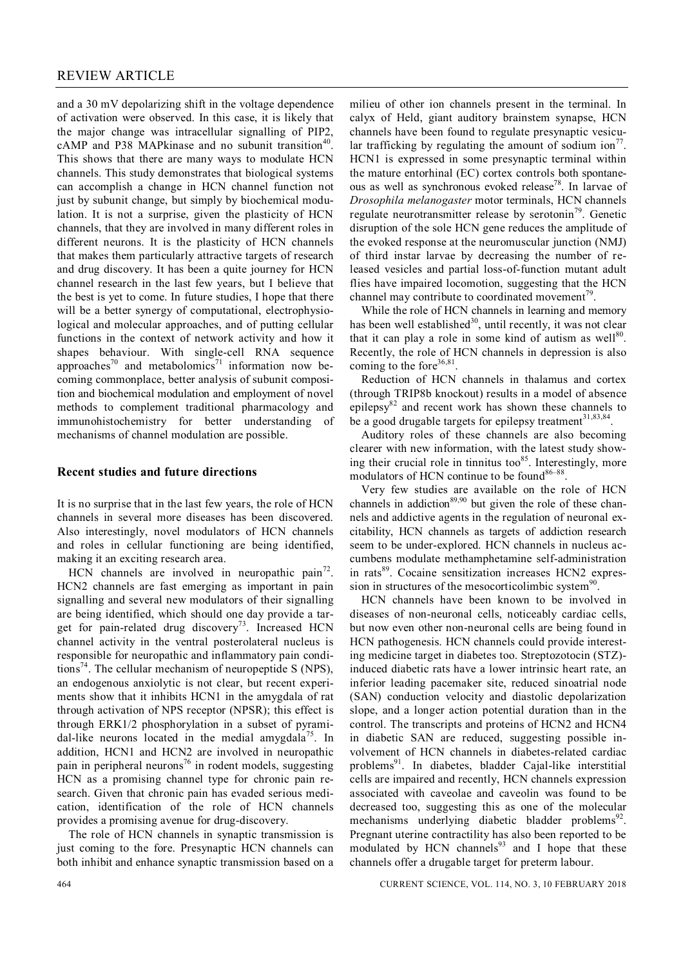and a 30 mV depolarizing shift in the voltage dependence of activation were observed. In this case, it is likely that the major change was intracellular signalling of PIP2,  $cAMP$  and P38 MAPkinase and no subunit transition<sup>40</sup>. This shows that there are many ways to modulate HCN channels. This study demonstrates that biological systems can accomplish a change in HCN channel function not just by subunit change, but simply by biochemical modulation. It is not a surprise, given the plasticity of HCN channels, that they are involved in many different roles in different neurons. It is the plasticity of HCN channels that makes them particularly attractive targets of research and drug discovery. It has been a quite journey for HCN channel research in the last few years, but I believe that the best is yet to come. In future studies, I hope that there will be a better synergy of computational, electrophysiological and molecular approaches, and of putting cellular functions in the context of network activity and how it shapes behaviour. With single-cell RNA sequence approaches<sup>70</sup> and metabolomics<sup>71</sup> information now becoming commonplace, better analysis of subunit composition and biochemical modulation and employment of novel methods to complement traditional pharmacology and immunohistochemistry for better understanding of mechanisms of channel modulation are possible.

#### **Recent studies and future directions**

It is no surprise that in the last few years, the role of HCN channels in several more diseases has been discovered. Also interestingly, novel modulators of HCN channels and roles in cellular functioning are being identified, making it an exciting research area.

HCN channels are involved in neuropathic pain<sup>72</sup>. HCN2 channels are fast emerging as important in pain signalling and several new modulators of their signalling are being identified, which should one day provide a target for pain-related drug discovery<sup>73</sup>. Increased HCN channel activity in the ventral posterolateral nucleus is responsible for neuropathic and inflammatory pain conditions<sup>74</sup>. The cellular mechanism of neuropeptide S (NPS), an endogenous anxiolytic is not clear, but recent experiments show that it inhibits HCN1 in the amygdala of rat through activation of NPS receptor (NPSR); this effect is through ERK1/2 phosphorylation in a subset of pyramidal-like neurons located in the medial amygdala<sup>75</sup>. In addition, HCN1 and HCN2 are involved in neuropathic pain in peripheral neurons<sup>76</sup> in rodent models, suggesting HCN as a promising channel type for chronic pain research. Given that chronic pain has evaded serious medication, identification of the role of HCN channels provides a promising avenue for drug-discovery.

The role of HCN channels in synaptic transmission is just coming to the fore. Presynaptic HCN channels can both inhibit and enhance synaptic transmission based on a milieu of other ion channels present in the terminal. In calyx of Held, giant auditory brainstem synapse, HCN channels have been found to regulate presynaptic vesicular trafficking by regulating the amount of sodium ion<sup>77</sup>. HCN1 is expressed in some presynaptic terminal within the mature entorhinal (EC) cortex controls both spontaneous as well as synchronous evoked release<sup>78</sup>. In larvae of *Drosophila melanogaster* motor terminals, HCN channels regulate neurotransmitter release by serotonin<sup>79</sup>. Genetic disruption of the sole HCN gene reduces the amplitude of the evoked response at the neuromuscular junction (NMJ) of third instar larvae by decreasing the number of released vesicles and partial loss-of-function mutant adult flies have impaired locomotion, suggesting that the HCN channel may contribute to coordinated movement<sup>79</sup>.

While the role of HCN channels in learning and memory has been well established<sup>30</sup>, until recently, it was not clear that it can play a role in some kind of autism as well $^{80}$ . Recently, the role of HCN channels in depression is also coming to the fore $36,81$ .

Reduction of HCN channels in thalamus and cortex (through TRIP8b knockout) results in a model of absence epilepsy $82$  and recent work has shown these channels to be a good drugable targets for epilepsy treatment<sup>31,83,84</sup>.

Auditory roles of these channels are also becoming clearer with new information, with the latest study showing their crucial role in tinnitus too $85$ . Interestingly, more modulators of HCN continue to be found<sup>86-88</sup>.

Very few studies are available on the role of HCN channels in addiction $89,90$  but given the role of these channels and addictive agents in the regulation of neuronal excitability, HCN channels as targets of addiction research seem to be under-explored. HCN channels in nucleus accumbens modulate methamphetamine self-administration in rats<sup>89</sup>. Cocaine sensitization increases HCN2 expression in structures of the mesocorticolimbic system $90$ .

HCN channels have been known to be involved in diseases of non-neuronal cells, noticeably cardiac cells, but now even other non-neuronal cells are being found in HCN pathogenesis. HCN channels could provide interesting medicine target in diabetes too. Streptozotocin (STZ) induced diabetic rats have a lower intrinsic heart rate, an inferior leading pacemaker site, reduced sinoatrial node (SAN) conduction velocity and diastolic depolarization slope, and a longer action potential duration than in the control. The transcripts and proteins of HCN2 and HCN4 in diabetic SAN are reduced, suggesting possible involvement of HCN channels in diabetes-related cardiac problems<sup>91</sup>. In diabetes, bladder Cajal-like interstitial cells are impaired and recently, HCN channels expression associated with caveolae and caveolin was found to be decreased too, suggesting this as one of the molecular mechanisms underlying diabetic bladder problems<sup>92</sup>. Pregnant uterine contractility has also been reported to be modulated by HCN channels $93$  and I hope that these channels offer a drugable target for preterm labour.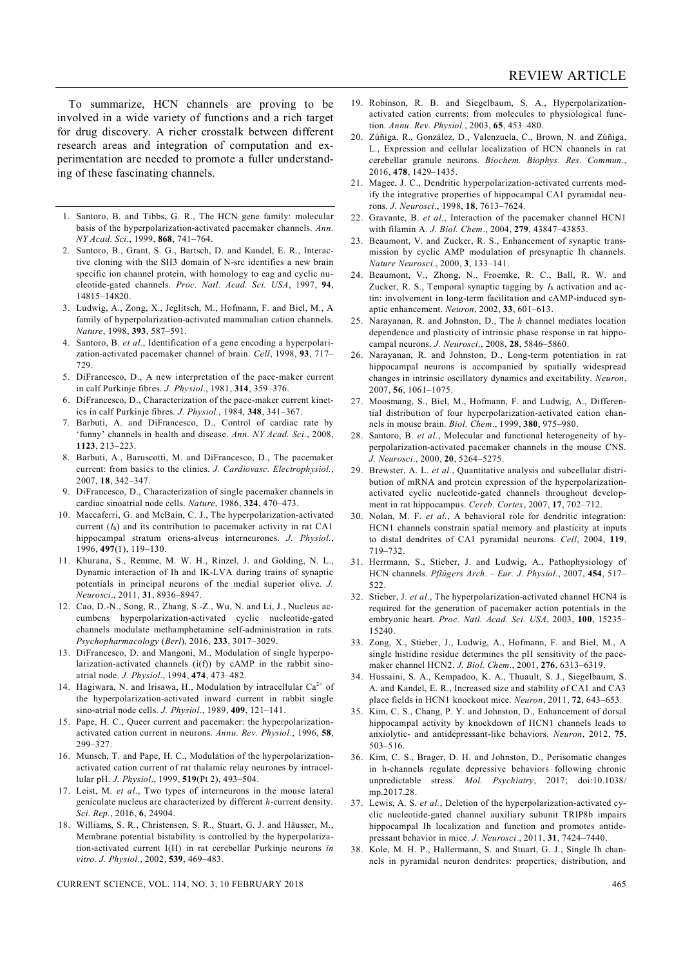To summarize, HCN channels are proving to be involved in a wide variety of functions and a rich target for drug discovery. A richer crosstalk between different research areas and integration of computation and experimentation are needed to promote a fuller understanding of these fascinating channels.

- 1. Santoro, B. and Tibbs, G. R., The HCN gene family: molecular basis of the hyperpolarization-activated pacemaker channels. *Ann. NY Acad. Sci*., 1999, **868**, 741–764.
- Santoro, B., Grant, S. G., Bartsch, D. and Kandel, E. R., Interactive cloning with the SH3 domain of N-src identifies a new brain specific ion channel protein, with homology to eag and cyclic nucleotide-gated channels. *Proc. Natl. Acad. Sci. USA*, 1997, **94**, 14815–14820.
- 3. Ludwig, A., Zong, X., Jeglitsch, M., Hofmann, F. and Biel, M., A family of hyperpolarization-activated mammalian cation channels. *Nature*, 1998, **393**, 587–591.
- 4. Santoro, B. *et al.*, Identification of a gene encoding a hyperpolarization-activated pacemaker channel of brain. *Cell*, 1998, **93**, 717– 729.
- 5. DiFrancesco, D., A new interpretation of the pace-maker current in calf Purkinje fibres. *J. Physiol*., 1981, **314**, 359–376.
- 6. DiFrancesco, D., Characterization of the pace-maker current kinetics in calf Purkinje fibres. *J. Physiol.*, 1984, **348**, 341–367.
- 7. Barbuti, A. and DiFrancesco, D., Control of cardiac rate by 'funny' channels in health and disease. *Ann. NY Acad. Sci.*, 2008, **1123**, 213–223.
- 8. Barbuti, A., Baruscotti, M. and DiFrancesco, D., The pacemaker current: from basics to the clinics. *J. Cardiovasc. Electrophysiol.*, 2007, **18**, 342–347.
- 9. DiFrancesco, D., Characterization of single pacemaker channels in cardiac sinoatrial node cells. *Nature*, 1986, **324**, 470–473.
- 10. Maccaferri, G. and McBain, C. J., The hyperpolarization-activated current (*I*h) and its contribution to pacemaker activity in rat CA1 hippocampal stratum oriens-alveus interneurones. *J. Physiol.*, 1996, **497**(1), 119–130.
- 11. Khurana, S., Remme, M. W. H., Rinzel, J. and Golding, N. L., Dynamic interaction of Ih and IK-LVA during trains of synaptic potentials in principal neurons of the medial superior olive. *J. Neurosci*., 2011, **31**, 8936–8947.
- 12. Cao, D.-N., Song, R., Zhang, S.-Z., Wu, N. and Li, J., Nucleus accumbens hyperpolarization-activated cyclic nucleotide-gated channels modulate methamphetamine self-administration in rats. *Psychopharmacology* (*Berl*), 2016, **233**, 3017–3029.
- 13. DiFrancesco, D. and Mangoni, M., Modulation of single hyperpolarization-activated channels  $(i(f))$  by cAMP in the rabbit sinoatrial node. *J. Physiol*., 1994, **474**, 473–482.
- 14. Hagiwara, N. and Irisawa, H., Modulation by intracellular  $Ca^{2+}$  of the hyperpolarization-activated inward current in rabbit single sino-atrial node cells. *J. Physiol*., 1989, **409**, 121–141.
- 15. Pape, H. C., Queer current and pacemaker: the hyperpolarizationactivated cation current in neurons. *Annu. Rev. Physiol*., 1996, **58**, 299–327.
- 16. Munsch, T. and Pape, H. C., Modulation of the hyperpolarizationactivated cation current of rat thalamic relay neurones by intracellular pH. *J. Physiol*., 1999, **519**(Pt 2), 493–504.
- 17. Leist, M. *et al*., Two types of interneurons in the mouse lateral geniculate nucleus are characterized by different *h*-current density. *Sci. Rep.*, 2016, **6**, 24904.
- 18. Williams, S. R., Christensen, S. R., Stuart, G. J. and Häusser, M., Membrane potential bistability is controlled by the hyperpolarization-activated current I(H) in rat cerebellar Purkinje neurons *in vitro*. *J. Physiol.*, 2002, **539**, 469–483.

CURRENT SCIENCE, VOL. 114, NO. 3, 10 FEBRUARY 2018 465

- 19. Robinson, R. B. and Siegelbaum, S. A., Hyperpolarizationactivated cation currents: from molecules to physiological function. *Annu. Rev. Physiol.*, 2003, **65**, 453–480.
- 20. Zúñiga, R., González, D., Valenzuela, C., Brown, N. and Zúñiga, L., Expression and cellular localization of HCN channels in rat cerebellar granule neurons. *Biochem. Biophys. Res. Commun*., 2016, **478**, 1429–1435.
- 21. Magee, J. C., Dendritic hyperpolarization-activated currents modify the integrative properties of hippocampal CA1 pyramidal neurons. *J. Neurosci*., 1998, **18**, 7613–7624.
- 22. Gravante, B. *et al.*, Interaction of the pacemaker channel HCN1 with filamin A. *J. Biol. Chem*., 2004, **279**, 43847–43853.
- 23. Beaumont, V. and Zucker, R. S., Enhancement of synaptic transmission by cyclic AMP modulation of presynaptic Ih channels. *Nature Neurosci.*, 2000, **3**, 133–141.
- 24. Beaumont, V., Zhong, N., Froemke, R. C., Ball, R. W. and Zucker, R. S., Temporal synaptic tagging by  $I<sub>h</sub>$  activation and actin: involvement in long-term facilitation and cAMP-induced synaptic enhancement. *Neuron*, 2002, **33**, 601–613.
- 25. Narayanan, R. and Johnston, D., The *h* channel mediates location dependence and plasticity of intrinsic phase response in rat hippocampal neurons. *J. Neurosci*., 2008, **28**, 5846–5860.
- 26. Narayanan, R. and Johnston, D., Long-term potentiation in rat hippocampal neurons is accompanied by spatially widespread changes in intrinsic oscillatory dynamics and excitability. *Neuron*, 2007, **56**, 1061–1075.
- 27. Moosmang, S., Biel, M., Hofmann, F. and Ludwig, A., Differential distribution of four hyperpolarization-activated cation channels in mouse brain. *Biol. Chem*., 1999, **380**, 975–980.
- 28. Santoro, B. *et al.*, Molecular and functional heterogeneity of hyperpolarization-activated pacemaker channels in the mouse CNS. *J. Neurosci*., 2000, **20**, 5264–5275.
- 29. Brewster, A. L. *et al.*, Quantitative analysis and subcellular distribution of mRNA and protein expression of the hyperpolarizationactivated cyclic nucleotide-gated channels throughout development in rat hippocampus. *Cereb. Cortex*, 2007, **17**, 702–712.
- 30. Nolan, M. F. *et al.*, A behavioral role for dendritic integration: HCN1 channels constrain spatial memory and plasticity at inputs to distal dendrites of CA1 pyramidal neurons. *Cell*, 2004, **119**, 719–732.
- 31. Herrmann, S., Stieber, J. and Ludwig, A., Pathophysiology of HCN channels. *Pflügers Arch. – Eur. J. Physiol*., 2007, **454**, 517– 522.
- 32. Stieber, J. *et al*., The hyperpolarization-activated channel HCN4 is required for the generation of pacemaker action potentials in the embryonic heart. *Proc. Natl. Acad. Sci. USA*, 2003, **100**, 15235– 15240.
- 33. Zong, X., Stieber, J., Ludwig, A., Hofmann, F. and Biel, M., A single histidine residue determines the pH sensitivity of the pacemaker channel HCN2. *J. Biol. Chem*., 2001, **276**, 6313–6319.
- 34. Hussaini, S. A., Kempadoo, K. A., Thuault, S. J., Siegelbaum, S. A. and Kandel, E. R., Increased size and stability of CA1 and CA3 place fields in HCN1 knockout mice. *Neuron*, 2011, **72**, 643–653.
- 35. Kim, C. S., Chang, P. Y. and Johnston, D., Enhancement of dorsal hippocampal activity by knockdown of HCN1 channels leads to anxiolytic- and antidepressant-like behaviors. *Neuron*, 2012, **75**, 503–516.
- 36. Kim, C. S., Brager, D. H. and Johnston, D., Perisomatic changes in h-channels regulate depressive behaviors following chronic unpredictable stress. *Mol. Psychiatry*, 2017; doi:10.1038/ mp.2017.28.
- 37. Lewis, A. S. *et al.*, Deletion of the hyperpolarization-activated cyclic nucleotide-gated channel auxiliary subunit TRIP8b impairs hippocampal Ih localization and function and promotes antidepressant behavior in mice. *J. Neurosci.*, 2011, **31**, 7424–7440.
- 38. Kole, M. H. P., Hallermann, S. and Stuart, G. J., Single Ih channels in pyramidal neuron dendrites: properties, distribution, and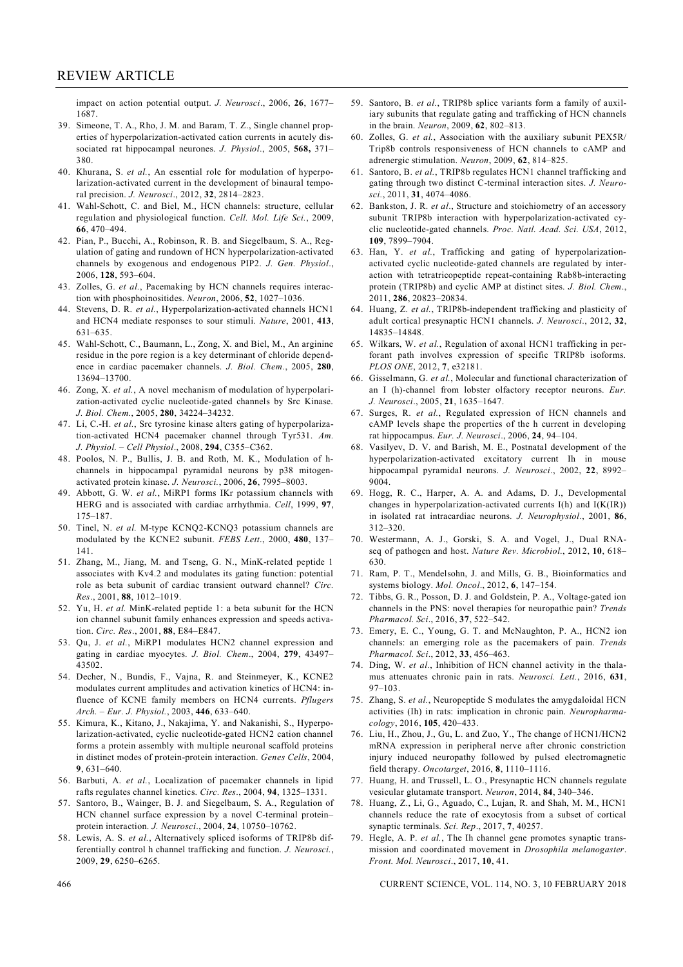impact on action potential output. *J. Neurosci*., 2006, **26**, 1677– 1687.

- 39. Simeone, T. A., Rho, J. M. and Baram, T. Z., Single channel properties of hyperpolarization-activated cation currents in acutely dissociated rat hippocampal neurones. *J. Physiol*., 2005, **568,** 371– 380.
- 40. Khurana, S. *et al.*, An essential role for modulation of hyperpolarization-activated current in the development of binaural temporal precision. *J. Neurosci*., 2012, **32**, 2814–2823.
- 41. Wahl-Schott, C. and Biel, M., HCN channels: structure, cellular regulation and physiological function. *Cell. Mol. Life Sci.*, 2009, **66**, 470–494.
- 42. Pian, P., Bucchi, A., Robinson, R. B. and Siegelbaum, S. A., Regulation of gating and rundown of HCN hyperpolarization-activated channels by exogenous and endogenous PIP2. *J. Gen. Physiol*., 2006, **128**, 593–604.
- 43. Zolles, G. *et al.*, Pacemaking by HCN channels requires interaction with phosphoinositides. *Neuron*, 2006, **52**, 1027–1036.
- 44. Stevens, D. R. *et al.*, Hyperpolarization-activated channels HCN1 and HCN4 mediate responses to sour stimuli. *Nature*, 2001, **413**, 631–635.
- 45. Wahl-Schott, C., Baumann, L., Zong, X. and Biel, M., An arginine residue in the pore region is a key determinant of chloride dependence in cardiac pacemaker channels. *J. Biol. Chem.*, 2005, **280**, 13694–13700.
- 46. Zong, X. *et al.*, A novel mechanism of modulation of hyperpolarization-activated cyclic nucleotide-gated channels by Src Kinase. *J. Biol. Chem*., 2005, **280**, 34224–34232.
- 47. Li, C.-H. *et al.*, Src tyrosine kinase alters gating of hyperpolarization-activated HCN4 pacemaker channel through Tyr531. *Am. J. Physiol. – Cell Physiol*., 2008, **294**, C355–C362.
- 48. Poolos, N. P., Bullis, J. B. and Roth, M. K., Modulation of hchannels in hippocampal pyramidal neurons by p38 mitogenactivated protein kinase. *J. Neurosci.*, 2006, **26**, 7995–8003.
- 49. Abbott, G. W. *et al.*, MiRP1 forms IKr potassium channels with HERG and is associated with cardiac arrhythmia. *Cell*, 1999, **97**, 175–187.
- 50. Tinel, N. *et al.* M-type KCNQ2-KCNQ3 potassium channels are modulated by the KCNE2 subunit. *FEBS Lett*., 2000, **480**, 137– 141.
- 51. Zhang, M., Jiang, M. and Tseng, G. N., MinK-related peptide 1 associates with Kv4.2 and modulates its gating function: potential role as beta subunit of cardiac transient outward channel? *Circ. Res*., 2001, **88**, 1012–1019.
- 52. Yu, H. *et al.* MinK-related peptide 1: a beta subunit for the HCN ion channel subunit family enhances expression and speeds activation. *Circ. Res*., 2001, **88**, E84–E847.
- 53. Qu, J. *et al.*, MiRP1 modulates HCN2 channel expression and gating in cardiac myocytes. *J. Biol. Chem*., 2004, **279**, 43497– 43502.
- 54. Decher, N., Bundis, F., Vajna, R. and Steinmeyer, K., KCNE2 modulates current amplitudes and activation kinetics of HCN4: influence of KCNE family members on HCN4 currents. *Pflugers Arch. – Eur. J. Physiol.*, 2003, **446**, 633–640.
- 55. Kimura, K., Kitano, J., Nakajima, Y. and Nakanishi, S., Hyperpolarization-activated, cyclic nucleotide-gated HCN2 cation channel forms a protein assembly with multiple neuronal scaffold proteins in distinct modes of protein-protein interaction. *Genes Cells*, 2004, **9**, 631–640.
- 56. Barbuti, A. *et al.*, Localization of pacemaker channels in lipid rafts regulates channel kinetics. *Circ. Res*., 2004, **94**, 1325–1331.
- 57. Santoro, B., Wainger, B. J. and Siegelbaum, S. A., Regulation of HCN channel surface expression by a novel C-terminal protein– protein interaction. *J. Neurosci*., 2004, **24**, 10750–10762.
- 58. Lewis, A. S. *et al.*, Alternatively spliced isoforms of TRIP8b differentially control h channel trafficking and function. *J. Neurosci.*, 2009, **29**, 6250–6265.
- 59. Santoro, B. *et al.*, TRIP8b splice variants form a family of auxiliary subunits that regulate gating and trafficking of HCN channels in the brain. *Neuron*, 2009, **62**, 802–813.
- 60. Zolles, G. *et al.*, Association with the auxiliary subunit PEX5R/ Trip8b controls responsiveness of HCN channels to cAMP and adrenergic stimulation. *Neuron*, 2009, **62**, 814–825.
- 61. Santoro, B. *et al.*, TRIP8b regulates HCN1 channel trafficking and gating through two distinct C-terminal interaction sites. *J. Neurosci.*, 2011, **31**, 4074–4086.
- 62. Bankston, J. R. *et al*., Structure and stoichiometry of an accessory subunit TRIP8b interaction with hyperpolarization-activated cyclic nucleotide-gated channels. *Proc. Natl. Acad. Sci. USA*, 2012, **109**, 7899–7904.
- 63. Han, Y. *et al.*, Trafficking and gating of hyperpolarizationactivated cyclic nucleotide-gated channels are regulated by interaction with tetratricopeptide repeat-containing Rab8b-interacting protein (TRIP8b) and cyclic AMP at distinct sites. *J. Biol. Chem*., 2011, **286**, 20823–20834.
- 64. Huang, Z. *et al.*, TRIP8b-independent trafficking and plasticity of adult cortical presynaptic HCN1 channels. *J. Neurosci*., 2012, **32**, 14835–14848.
- 65. Wilkars, W. *et al.*, Regulation of axonal HCN1 trafficking in perforant path involves expression of specific TRIP8b isoforms. *PLOS ONE*, 2012, **7**, e32181.
- 66. Gisselmann, G. *et al.*, Molecular and functional characterization of an I (h)-channel from lobster olfactory receptor neurons. *Eur. J. Neurosci*., 2005, **21**, 1635–1647.
- 67. Surges, R. *et al.*, Regulated expression of HCN channels and cAMP levels shape the properties of the h current in developing rat hippocampus. *Eur. J. Neurosci*., 2006, **24**, 94–104.
- 68. Vasilyev, D. V. and Barish, M. E., Postnatal development of the hyperpolarization-activated excitatory current Ih in mouse hippocampal pyramidal neurons. *J. Neurosci*., 2002, **22**, 8992– 9004.
- 69. Hogg, R. C., Harper, A. A. and Adams, D. J., Developmental changes in hyperpolarization-activated currents I(h) and I(K(IR)) in isolated rat intracardiac neurons. *J. Neurophysiol*., 2001, **86**, 312–320.
- 70. Westermann, A. J., Gorski, S. A. and Vogel, J., Dual RNAseq of pathogen and host. *Nature Rev. Microbiol*., 2012, **10**, 618– 630.
- 71. Ram, P. T., Mendelsohn, J. and Mills, G. B., Bioinformatics and systems biology. *Mol. Oncol*., 2012, **6**, 147–154.
- 72. Tibbs, G. R., Posson, D. J. and Goldstein, P. A., Voltage-gated ion channels in the PNS: novel therapies for neuropathic pain? *Trends Pharmacol. Sci*., 2016, **37**, 522–542.
- 73. Emery, E. C., Young, G. T. and McNaughton, P. A., HCN2 ion channels: an emerging role as the pacemakers of pain. *Trends Pharmacol. Sci*., 2012, **33**, 456–463.
- 74. Ding, W. *et al.*, Inhibition of HCN channel activity in the thalamus attenuates chronic pain in rats. *Neurosci. Lett.*, 2016, **631**, 97–103.
- 75. Zhang, S. *et al.*, Neuropeptide S modulates the amygdaloidal HCN activities (Ih) in rats: implication in chronic pain. *Neuropharmacology*, 2016, **105**, 420–433.
- 76. Liu, H., Zhou, J., Gu, L. and Zuo, Y., The change of HCN1/HCN2 mRNA expression in peripheral nerve after chronic constriction injury induced neuropathy followed by pulsed electromagnetic field therapy. *Oncotarget*, 2016, **8**, 1110–1116.
- 77. Huang, H. and Trussell, L. O., Presynaptic HCN channels regulate vesicular glutamate transport. *Neuron*, 2014, **84**, 340–346.
- 78. Huang, Z., Li, G., Aguado, C., Lujan, R. and Shah, M. M., HCN1 channels reduce the rate of exocytosis from a subset of cortical synaptic terminals. *Sci. Rep*., 2017, **7**, 40257.
- 79. Hegle, A. P. *et al.*, The Ih channel gene promotes synaptic transmission and coordinated movement in *Drosophila melanogaster*. *Front. Mol. Neurosci*., 2017, **10**, 41.

466 CURRENT SCIENCE, VOL. 114, NO. 3, 10 FEBRUARY 2018